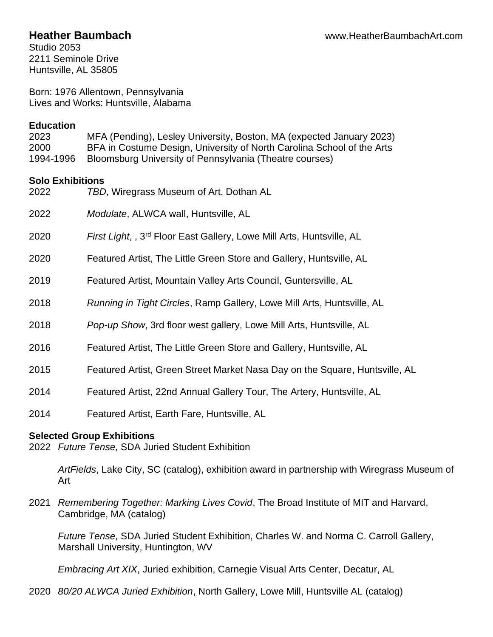Studio 2053 2211 Seminole Drive Huntsville, AL 35805

Born: 1976 Allentown, Pennsylvania Lives and Works: Huntsville, Alabama

#### **Education**

2023 MFA (Pending), Lesley University, Boston, MA (expected January 2023) 2000 BFA in Costume Design, University of North Carolina School of the Arts 1994-1996 Bloomsburg University of Pennsylvania (Theatre courses)

# **Solo Exhibitions**

| 2022 | TBD, Wiregrass Museum of Art, Dothan AL                                           |
|------|-----------------------------------------------------------------------------------|
| 2022 | <i>Modulate, ALWCA wall, Huntsville, AL</i>                                       |
| 2020 | First Light, , 3 <sup>rd</sup> Floor East Gallery, Lowe Mill Arts, Huntsville, AL |
| 2020 | Featured Artist, The Little Green Store and Gallery, Huntsville, AL               |
| 2019 | Featured Artist, Mountain Valley Arts Council, Guntersville, AL                   |
| 2018 | Running in Tight Circles, Ramp Gallery, Lowe Mill Arts, Huntsville, AL            |
| 2018 | Pop-up Show, 3rd floor west gallery, Lowe Mill Arts, Huntsville, AL               |
| 2016 | Featured Artist, The Little Green Store and Gallery, Huntsville, AL               |
| 2015 | Featured Artist, Green Street Market Nasa Day on the Square, Huntsville, AL       |
| 2014 | Featured Artist, 22nd Annual Gallery Tour, The Artery, Huntsville, AL             |
| 2014 | Featured Artist, Earth Fare, Huntsville, AL                                       |

# **Selected Group Exhibitions**

2022 *Future Tense,* SDA Juried Student Exhibition

*ArtFields*, Lake City, SC (catalog), exhibition award in partnership with Wiregrass Museum of Art

2021 *Remembering Together: Marking Lives Covid*, The Broad Institute of MIT and Harvard, Cambridge, MA (catalog)

*Future Tense,* SDA Juried Student Exhibition, Charles W. and Norma C. Carroll Gallery, Marshall University, Huntington, WV

*Embracing Art XIX*, Juried exhibition, Carnegie Visual Arts Center, Decatur, AL

2020 *80/20 ALWCA Juried Exhibition*, North Gallery, Lowe Mill, Huntsville AL (catalog)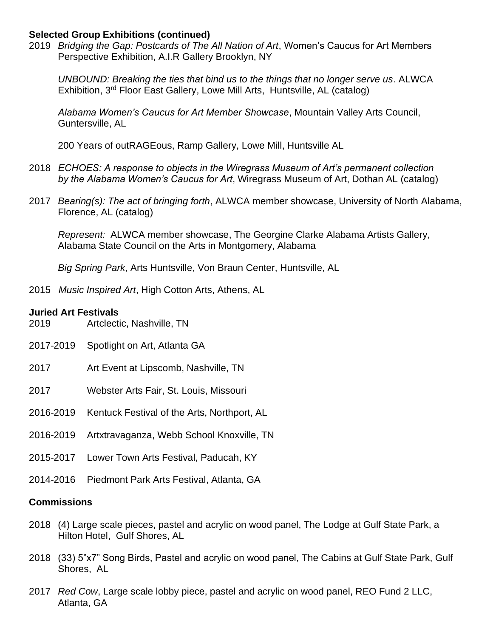#### **Selected Group Exhibitions (continued)**

2019 *Bridging the Gap: Postcards of The All Nation of Art*, Women's Caucus for Art Members Perspective Exhibition, A.I.R Gallery Brooklyn, NY

*UNBOUND: Breaking the ties that bind us to the things that no longer serve us*. ALWCA Exhibition, 3<sup>rd</sup> Floor East Gallery, Lowe Mill Arts, Huntsville, AL (catalog)

*Alabama Women's Caucus for Art Member Showcase*, Mountain Valley Arts Council, Guntersville, AL

200 Years of outRAGEous, Ramp Gallery, Lowe Mill, Huntsville AL

- 2018 *ECHOES: A response to objects in the Wiregrass Museum of Art's permanent collection by the Alabama Women's Caucus for Art*, Wiregrass Museum of Art, Dothan AL (catalog)
- 2017 *Bearing(s): The act of bringing forth*, ALWCA member showcase, University of North Alabama, Florence, AL (catalog)

*Represent:* ALWCA member showcase, The Georgine Clarke Alabama Artists Gallery, Alabama State Council on the Arts in Montgomery, Alabama

*Big Spring Park*, Arts Huntsville, Von Braun Center, Huntsville, AL

2015 *Music Inspired Art*, High Cotton Arts, Athens, AL

#### **Juried Art Festivals**

- 2019 Artclectic, Nashville, TN
- 2017-2019 Spotlight on Art, Atlanta GA
- 2017 Art Event at Lipscomb, Nashville, TN
- 2017 Webster Arts Fair, St. Louis, Missouri
- 2016-2019 Kentuck Festival of the Arts, Northport, AL
- 2016-2019 Artxtravaganza, Webb School Knoxville, TN
- 2015-2017 Lower Town Arts Festival, Paducah, KY
- 2014-2016 Piedmont Park Arts Festival, Atlanta, GA

#### **Commissions**

- 2018 (4) Large scale pieces, pastel and acrylic on wood panel, The Lodge at Gulf State Park, a Hilton Hotel, Gulf Shores, AL
- 2018 (33) 5"x7" Song Birds, Pastel and acrylic on wood panel, The Cabins at Gulf State Park, Gulf Shores, AL
- 2017 *Red Cow*, Large scale lobby piece, pastel and acrylic on wood panel, REO Fund 2 LLC, Atlanta, GA